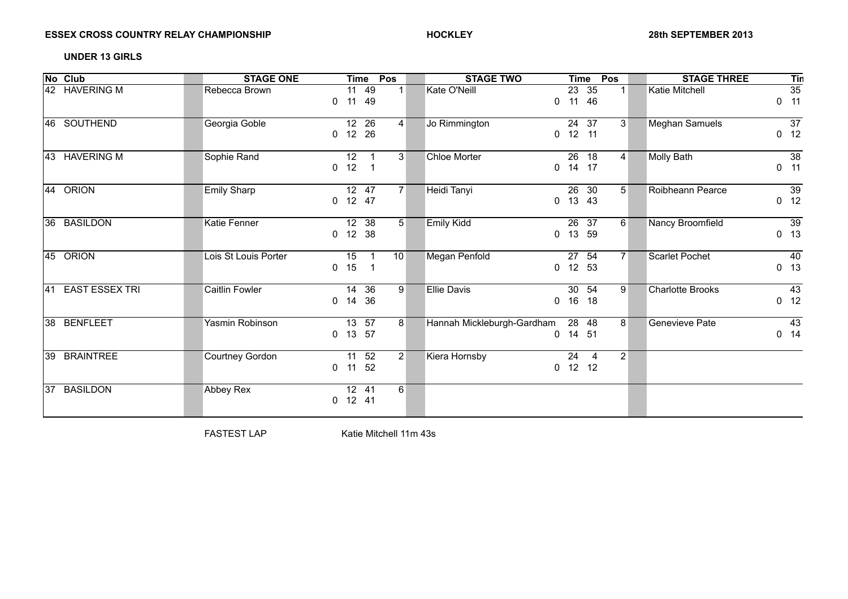## ESSEX CROSS COUNTRY RELAY CHAMPIONSHIP **And SEPTEMBER 2013 HOCKLEY Property and SEPTEMBER 2013**

### **UNDER 13 GIRLS**

| No Club                      | <b>STAGE ONE</b>     | Pos<br><b>Time</b>                                                          | <b>STAGE TWO</b><br><b>Time</b>                                | Pos<br><b>STAGE THREE</b><br><b>Tin</b>                             |
|------------------------------|----------------------|-----------------------------------------------------------------------------|----------------------------------------------------------------|---------------------------------------------------------------------|
| 42 HAVERING M                | Rebecca Brown        | $\overline{11}$ 49<br>1 <sup>1</sup><br>11 49<br>$\mathbf{0}$               | $23 \t35$<br>Kate O'Neill<br>11 46<br>$\mathbf 0$              | $\overline{35}$<br><b>Katie Mitchell</b><br>$1 \vert$<br>11<br>0    |
| 46 SOUTHEND                  | Georgia Goble        | 12 26<br>$\vert 4 \vert$<br>12 26<br>0                                      | 24 37<br>Jo Rimmington<br>12 11<br>$\mathbf{0}$                | 3 <sup>1</sup><br><b>Meghan Samuels</b><br>37<br>12<br>0            |
| 43 HAVERING M                | Sophie Rand          | 12<br>3 <sup>1</sup><br>$\mathbf 1$<br>12<br>$\mathbf{0}$<br>$\overline{1}$ | <b>Chloe Morter</b><br>26 18<br>14 17<br>$\mathbf{0}$          | $\overline{38}$<br><b>Molly Bath</b><br>$\vert 4 \vert$<br>11<br>0  |
| 44 ORION                     | <b>Emily Sharp</b>   | 12 47<br>7 <sup>1</sup><br>$0$ 12 47                                        | Heidi Tanyi<br>26 30<br>13 43<br>$\mathbf{0}$                  | Roibheann Pearce<br>39<br>5 <sup>1</sup><br>$0$ 12                  |
| 36 BASILDON                  | Katie Fenner         | $12$ 38<br>5 <sup>1</sup><br>$0$ 12 38                                      | <b>Emily Kidd</b><br>26 37<br>13 59<br>$\mathbf 0$             | $\overline{39}$<br>Nancy Broomfield<br>6<br>$0$ 13                  |
| 45 ORION                     | Lois St Louis Porter | 15<br>10<br>$\overline{1}$<br>15<br>$\overline{1}$<br>$\mathbf{0}$          | $\overline{27}$ 54<br>Megan Penfold<br>12 53<br>$\mathbf{0}$   | <b>Scarlet Pochet</b><br>7 <sup>1</sup><br>40<br>13<br>$\mathbf{0}$ |
| <b>EAST ESSEX TRI</b><br>l41 | Caitlin Fowler       | 14 36<br>9 <sup>1</sup><br>14<br>36<br>0                                    | <b>Ellie Davis</b><br>30 54<br>16 18<br>$\mathbf{0}$           | -9<br><b>Charlotte Brooks</b><br>43<br>12<br>0                      |
| 38 BENFLEET                  | Yasmin Robinson      | $\overline{13}$ 57<br>8 <sup>1</sup><br>13 57<br>$\mathbf{0}$               | Hannah Mickleburgh-Gardham<br>28 48<br>14 51<br>$\mathbf{0}$   | 8 <sup>1</sup><br>Genevieve Pate<br>43<br>$0$ 14                    |
| 39 BRAINTREE                 | Courtney Gordon      | 11 52<br>2 <sup>2</sup><br>11 52<br>0                                       | Kiera Hornsby<br>24<br>$\overline{4}$<br>12 12<br>$\mathbf{0}$ | $\vert$ 2                                                           |
| <b>BASILDON</b><br>37        | Abbey Rex            | 12 41<br>6<br>$0$ 12 41                                                     |                                                                |                                                                     |

FASTEST LAP Katie Mitchell 11m 43s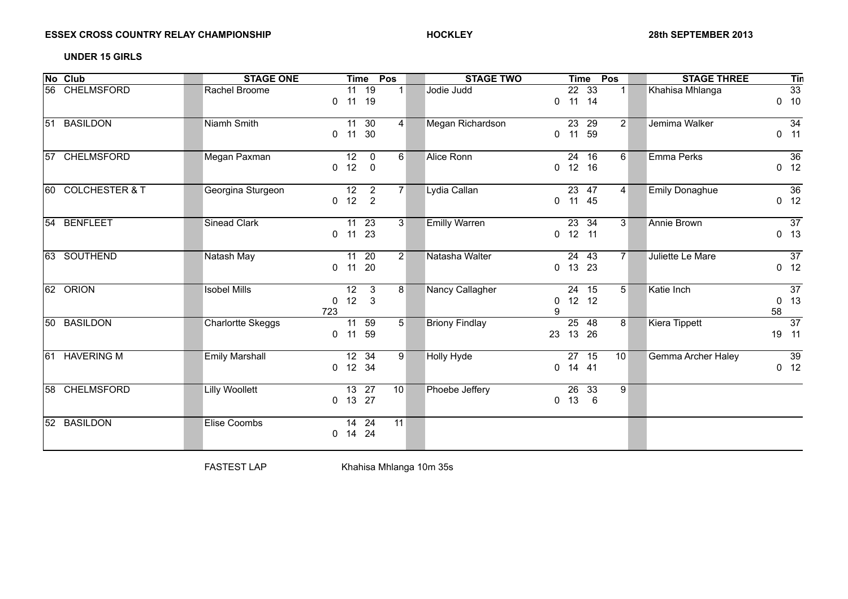# ESSEX CROSS COUNTRY RELAY CHAMPIONSHIP **And SEPTEMBER 2013 HOCKLEY Property and SEPTEMBER 2013**

### **UNDER 15 GIRLS**

| No Club                  | <b>STAGE ONE</b>         | Pos<br><b>Time</b>                                                                             | <b>STAGE TWO</b>      | Pos<br><b>Time</b>                                  | <b>STAGE THREE</b><br>Tin                                 |
|--------------------------|--------------------------|------------------------------------------------------------------------------------------------|-----------------------|-----------------------------------------------------|-----------------------------------------------------------|
| 56 CHELMSFORD            | Rachel Broome            | $11$ 19<br>1 <sup>1</sup><br>11 19<br>0                                                        | Jodie Judd            | $22 \t33$<br>1<br>$0$ 11 14                         | 33<br>Khahisa Mhlanga<br>$0$ 10                           |
| <b>BASILDON</b><br>51    | Niamh Smith              | 11 30<br>$\overline{4}$<br>11 30<br>0                                                          | Megan Richardson      | 23 29<br>2 <sup>2</sup><br>11 59<br>$\mathbf{0}$    | 34<br>Jemima Walker<br>11<br>0                            |
| <b>CHELMSFORD</b><br>157 | Megan Paxman             | $\overline{12}$<br>$\mathbf 0$<br>$6 \overline{6}$<br>12<br>$\mathbf 0$<br>$\mathbf{0}$        | Alice Ronn            | 24<br>16<br>6<br>12 16<br>$\mathbf{0}$              | $\overline{36}$<br>Emma Perks<br>$0$ 12                   |
| 60 COLCHESTER & T        | Georgina Sturgeon        | $\overline{2}$<br>12<br>7 <sup>1</sup><br>12<br>$\overline{2}$<br>0                            | Lydia Callan          | 23 47<br>$\vert 4 \vert$<br>$0$ 11 45               | 36<br><b>Emily Donaghue</b><br>12<br>$\mathbf{0}$         |
| 54 BENFLEET              | <b>Sinead Clark</b>      | $\overline{11}$ 23<br>3 <sup>1</sup><br>11 23<br>0                                             | <b>Emilly Warren</b>  | $23 \t34$<br>$\overline{3}$<br>$0$ 12 11            | $\overline{37}$<br><b>Annie Brown</b><br>0 <sub>13</sub>  |
| 63 SOUTHEND              | Natash May               | $11 20$<br>$\vert$ 2<br>20<br>11<br>0                                                          | Natasha Walter        | 24 43<br>7 <sup>1</sup><br>13<br>23<br>$\mathbf{0}$ | $\overline{37}$<br>Juliette Le Mare<br>12<br>0            |
| 62 ORION                 | <b>Isobel Mills</b>      | $\overline{12}$<br>$\mathbf{3}$<br>8 <sup>1</sup><br>12<br>$\mathbf{3}$<br>$\mathbf{0}$<br>723 | Nancy Callagher       | $24$ 15<br>5<br>12 12<br>0<br>9                     | Katie Inch<br>$\overline{37}$<br>13<br>$\mathbf{0}$<br>58 |
| 50 BASILDON              | <b>Charlortte Skeggs</b> | 11 59<br>5 <sup>5</sup><br>59<br>11<br>0                                                       | <b>Briony Findlay</b> | 25<br>48<br>8 <sup>1</sup><br>13<br>26<br>23        | $\overline{37}$<br>Kiera Tippett<br>19 11                 |
| 61 HAVERING M            | <b>Emily Marshall</b>    | $\overline{12}$ 34<br>9<br>$0$ 12 34                                                           | Holly Hyde            | 27 15<br>10 <sup>1</sup><br>14 41<br>$\mathbf{0}$   | Gemma Archer Haley<br>39<br>$0$ 12                        |
| 58 CHELMSFORD            | <b>Lilly Woollett</b>    | $\overline{13}$ 27<br>10<br>$0$ 13 27                                                          | Phoebe Jeffery        | 9<br>26 33<br>13<br>6<br>$\mathbf{0}$               |                                                           |
| 52 BASILDON              | Elise Coombs             | 14 24<br>11<br>$0$ 14 24                                                                       |                       |                                                     |                                                           |

FASTEST LAP Khahisa Mhlanga 10m 35s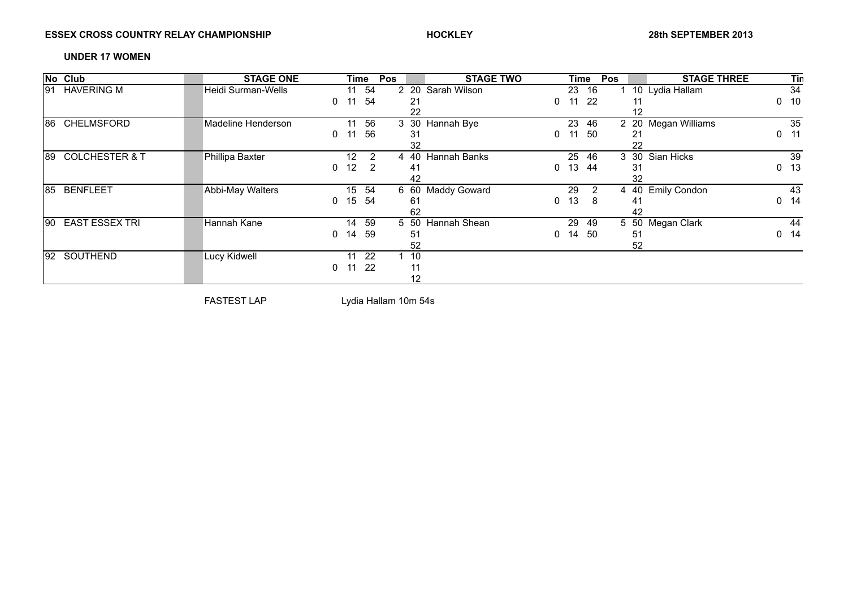# ESSEX CROSS COUNTRY RELAY CHAMPIONSHIP **And SEPTEMBER 2013 HOCKLEY Property and SEPTEMBER 2013**

### **UNDER 17 WOMEN**

|     | No Club                   | <b>STAGE ONE</b>    |   | Time            |     | Pos |      | <b>STAGE TWO</b>    |   | Time |                | Pos |          | <b>STAGE THREE</b>  |   | Tin |
|-----|---------------------------|---------------------|---|-----------------|-----|-----|------|---------------------|---|------|----------------|-----|----------|---------------------|---|-----|
| 191 | <b>HAVERING M</b>         | Heidi Surman-Wells  |   | 11              | 54  |     |      | 2 20 Sarah Wilson   |   | 23   | 16             |     |          | 10 Lydia Hallam     |   | 34  |
|     |                           |                     | 0 | 11              | 54  |     | 21   |                     |   |      | -22            |     | 11       |                     | 0 | 10  |
|     |                           |                     |   |                 |     |     | 22   |                     |   |      |                |     | 12       |                     |   |     |
| 186 | <b>CHELMSFORD</b>         | Madeline Henderson  |   | 11              | 56  |     | 3 30 | Hannah Bye          |   | 23   | 46             |     | 2 20     | Megan Williams      |   | 35  |
|     |                           |                     | 0 | 11              | 56  |     | 31   |                     | 0 |      | -50            |     | 21       |                     | 0 | 11  |
|     |                           |                     |   |                 |     |     | 32   |                     |   |      |                |     | 22       |                     |   |     |
| 189 | <b>COLCHESTER &amp; T</b> | Phillipa Baxter     |   | 12 <sub>2</sub> | 2   |     | 4 40 | Hannah Banks        |   | 25   | 46             |     | 3<br>30  | Sian Hicks          |   | 39  |
|     |                           |                     | 0 | 12              | 2   |     | -41  |                     | 0 | 13   | 44             |     | 31       |                     | 0 | 13  |
|     |                           |                     |   |                 |     |     | 42   |                     |   |      |                |     | 32       |                     |   |     |
| 185 | <b>BENFLEET</b>           | Abbi-May Walters    |   | 15 <sub>1</sub> | 54  |     | 6 60 | <b>Maddy Goward</b> |   | 29   | $\overline{2}$ |     | 4<br>-40 | <b>Emily Condon</b> |   | 43  |
|     |                           |                     | 0 | 15              | -54 |     | 61   |                     | 0 | 13   | 8              |     | 41       |                     | 0 | 14  |
|     |                           |                     |   |                 |     |     | 62   |                     |   |      |                |     | 42       |                     |   |     |
| 190 | <b>EAST ESSEX TRI</b>     | Hannah Kane         |   | 14              | 59  |     | 5 50 | Hannah Shean        |   | 29   | -49            |     | 5 50     | Megan Clark         |   | 44  |
|     |                           |                     | 0 | 14              | 59  |     | 51   |                     |   | 14   | -50            |     | 51       |                     | 0 | 14  |
|     |                           |                     |   |                 |     |     | 52   |                     |   |      |                |     | 52       |                     |   |     |
| 192 | SOUTHEND                  | <b>Lucy Kidwell</b> |   | 11              | 22  |     | 10   |                     |   |      |                |     |          |                     |   |     |
|     |                           |                     | 0 | 11              | -22 |     | 11   |                     |   |      |                |     |          |                     |   |     |
|     |                           |                     |   |                 |     |     | 12   |                     |   |      |                |     |          |                     |   |     |

FASTEST LAP Lydia Hallam 10m 54s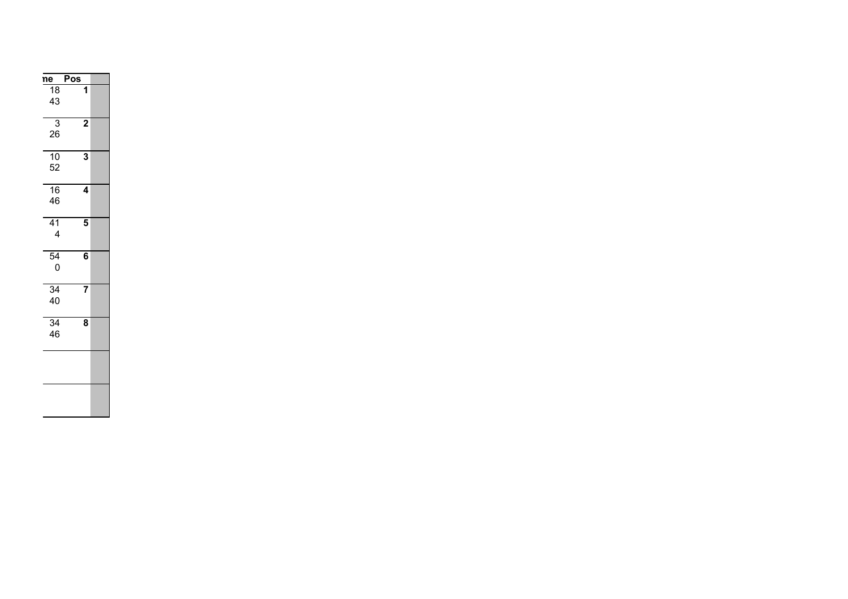| Pos                     | <u>ne</u>            |
|-------------------------|----------------------|
| 1                       | 18<br>43             |
| $\overline{\mathbf{2}}$ | 3<br>26              |
| 3                       | 10<br>52             |
| 4                       | 16<br>46             |
| 5                       | 41<br>4              |
| 6                       | $\overline{54}$<br>0 |
| 7                       | 34<br>40             |
| 8                       | 34<br>46             |
|                         |                      |
|                         |                      |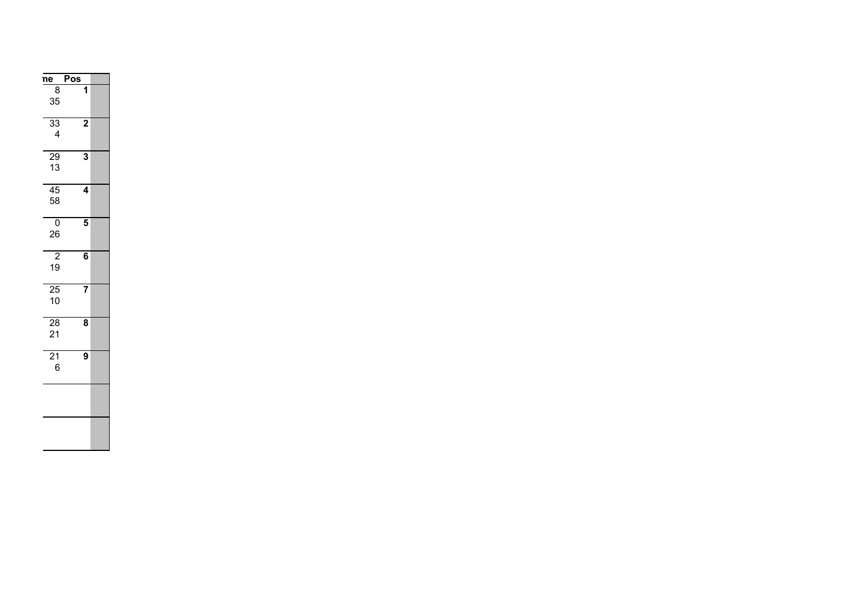| ne                    | Pos                     |  |
|-----------------------|-------------------------|--|
| 8<br>35               | 1                       |  |
| $\overline{33}$<br>4  | $\overline{\mathbf{c}}$ |  |
| 29<br>13              | 3                       |  |
| $\overline{45}$<br>58 | 4                       |  |
| $\overline{0}$<br>26  | 5                       |  |
| $\overline{2}$<br>19  | 6                       |  |
| 25<br>10              | 7                       |  |
| 28<br>21              | 8                       |  |
| $\overline{21}$<br>6  | 9                       |  |
|                       |                         |  |
|                       |                         |  |